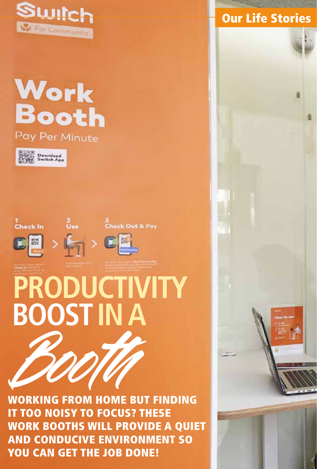

## **Work Booth** Pay Per Minute











Booth **BOOST IN APRODUCTIVITY** 

WORKING FROM HOME BUT FINDING IT TOO NOISY TO FOCUS? THESE WORK BOOTHS WILL PROVIDE A QUIET AND CONDUCIVE ENVIRONMENT SO YOU CAN GET THE JOB DONE!

## **Our Life Stories**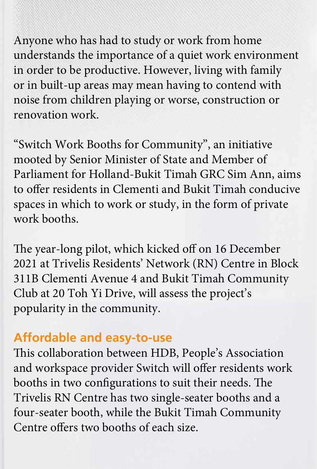Anyone who has had to study or work from home understands the importance of a quiet work environment in order to be productive. However, living with family or in built-up areas may mean having to contend with noise from children playing or worse, construction or renovation work.

"Switch Work Booths for Community", an initiative mooted by Senior Minister of State and Member of Parliament for Holland-Bukit Timah GRC Sim Ann, aims to offer residents in Clementi and Bukit Timah conducive spaces in which to work or study, in the form of private work booths.

The year-long pilot, which kicked off on 16 December 2021 at Trivelis Residents' Network (RN) Centre in Block 311B Clementi Avenue 4 and Bukit Timah Community Club at 20 Toh Yi Drive, will assess the project's popularity in the community.

## **Affordable and easy-to-use**

This collaboration between HDB, People's Association and workspace provider Switch will offer residents work booths in two configurations to suit their needs. The Trivelis RN Centre has two single-seater booths and a four-seater booth, while the Bukit Timah Community Centre offers two booths of each size.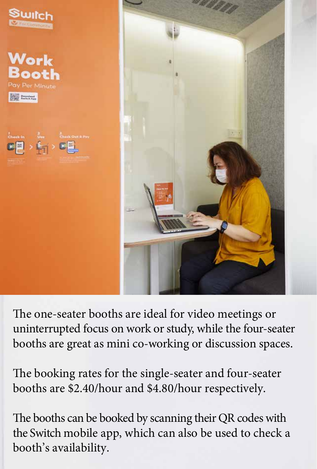

The one-seater booths are ideal for video meetings or uninterrupted focus on work or study, while the four-seater booths are great as mini co-working or discussion spaces.

The booking rates for the single-seater and four-seater booths are \$2.40/hour and \$4.80/hour respectively.

The booths can be booked by scanning their QR codes with the Switch mobile app, which can also be used to check a booth's availability.